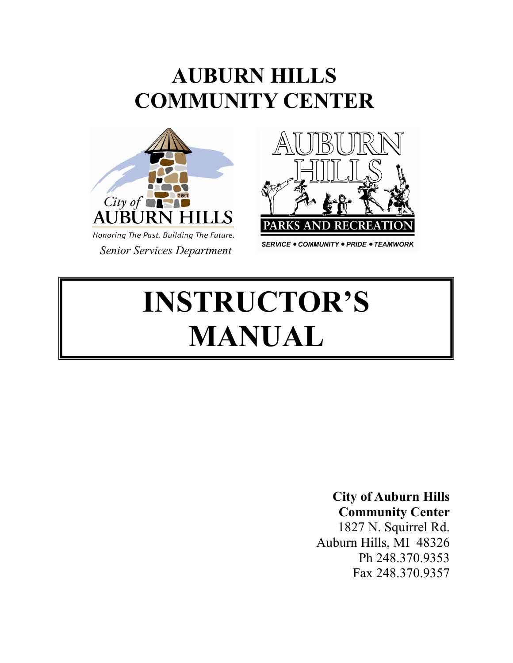# **AUBURN HILLS COMMUNITY CENTER**





**SERVICE . COMMUNITY . PRIDE . TEAMWORK** 

# **INSTRUCTOR'S MANUAL**

# **City of Auburn Hills**

**Community Center** 1827 N. Squirrel Rd. Auburn Hills, MI 48326 Ph 248.370.9353 Fax 248.370.9357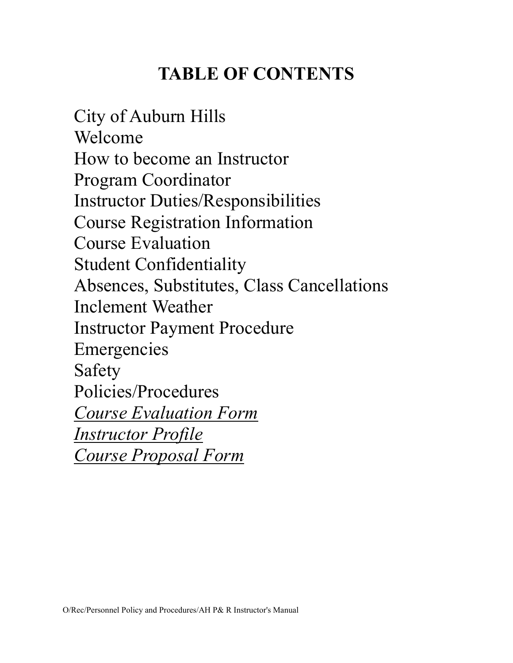# **TABLE OF CONTENTS**

City of Auburn Hills Welcome How to become an Instructor Program Coordinator Instructor Duties/Responsibilities Course Registration Information Course Evaluation Student Confidentiality Absences, Substitutes, Class Cancellations Inclement Weather Instructor Payment Procedure Emergencies Safety Policies/Procedures *Course Evaluation Form Instructor Profile Course Proposal Form*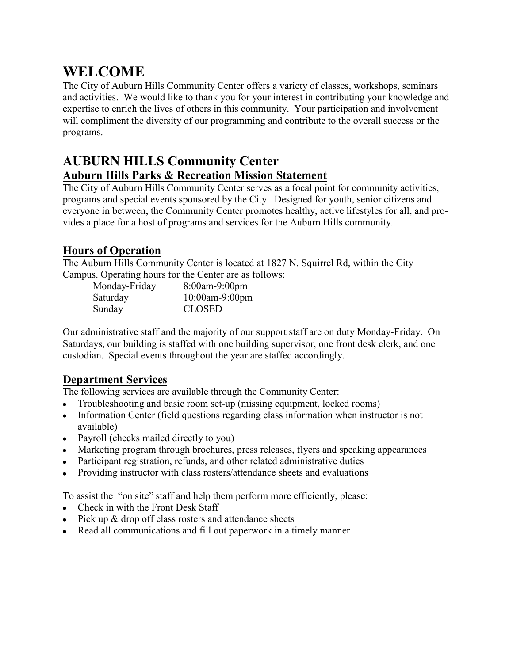# **WELCOME**

The City of Auburn Hills Community Center offers a variety of classes, workshops, seminars and activities. We would like to thank you for your interest in contributing your knowledge and expertise to enrich the lives of others in this community. Your participation and involvement will compliment the diversity of our programming and contribute to the overall success or the programs.

#### **AUBURN HILLS Community Center Auburn Hills Parks & Recreation Mission Statement**

The City of Auburn Hills Community Center serves as a focal point for community activities, programs and special events sponsored by the City. Designed for youth, senior citizens and everyone in between, the Community Center promotes healthy, active lifestyles for all, and provides a place for a host of programs and services for the Auburn Hills community.

#### **Hours of Operation**

The Auburn Hills Community Center is located at 1827 N. Squirrel Rd, within the City Campus. Operating hours for the Center are as follows:

| Monday-Friday | 8:00am-9:00pm  |
|---------------|----------------|
| Saturday      | 10:00am-9:00pm |
| Sunday        | <b>CLOSED</b>  |

Our administrative staff and the majority of our support staff are on duty Monday-Friday. On Saturdays, our building is staffed with one building supervisor, one front desk clerk, and one custodian. Special events throughout the year are staffed accordingly.

#### **Department Services**

The following services are available through the Community Center:

- Troubleshooting and basic room set-up (missing equipment, locked rooms)
- Information Center (field questions regarding class information when instructor is not available)
- Payroll (checks mailed directly to you)
- Marketing program through brochures, press releases, flyers and speaking appearances
- Participant registration, refunds, and other related administrative duties
- Providing instructor with class rosters/attendance sheets and evaluations

To assist the "on site" staff and help them perform more efficiently, please:

- Check in with the Front Desk Staff
- $\bullet$  Pick up  $\&$  drop off class rosters and attendance sheets
- Read all communications and fill out paperwork in a timely manner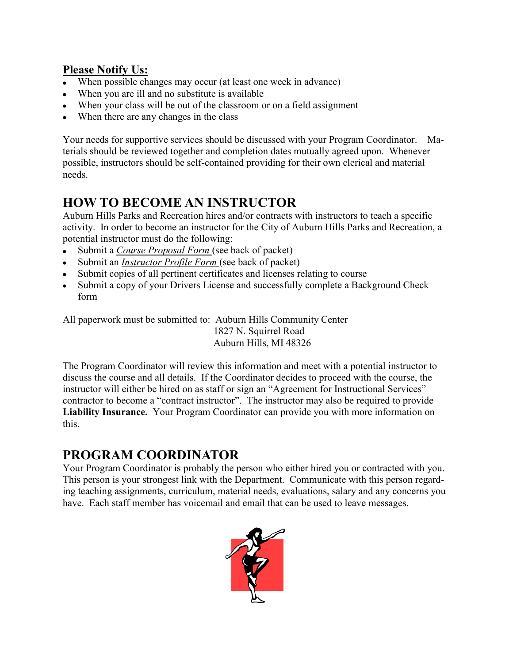#### **Please Notify Us:**

- When possible changes may occur (at least one week in advance)
- When you are ill and no substitute is available
- When your class will be out of the classroom or on a field assignment
- When there are any changes in the class

Your needs for supportive services should be discussed with your Program Coordinator. Materials should be reviewed together and completion dates mutually agreed upon. Whenever possible, instructors should be self-contained providing for their own clerical and material needs.

# **HOW TO BECOME AN INSTRUCTOR**

Auburn Hills Parks and Recreation hires and/or contracts with instructors to teach a specific activity. In order to become an instructor for the City of Auburn Hills Parks and Recreation, a potential instructor must do the following:

- Submit a *Course Proposal Form* (see back of packet)  $\bullet$
- Submit an *Instructor Profile Form* (see back of packet)
- Submit copies of all pertinent certificates and licenses relating to course
- Submit a copy of your Drivers License and successfully complete a Background Check form

All paperwork must be submitted to: Auburn Hills Community Center 1827 N. Squirrel Road Auburn Hills, MI 48326

The Program Coordinator will review this information and meet with a potential instructor to discuss the course and all details. If the Coordinator decides to proceed with the course, the instructor will either be hired on as staff or sign an "Agreement for Instructional Services" contractor to become a "contract instructor". The instructor may also be required to provide **Liability Insurance.** Your Program Coordinator can provide you with more information on this.

# **PROGRAM COORDINATOR**

Your Program Coordinator is probably the person who either hired you or contracted with you. This person is your strongest link with the Department. Communicate with this person regarding teaching assignments, curriculum, material needs, evaluations, salary and any concerns you have. Each staff member has voicemail and email that can be used to leave messages.

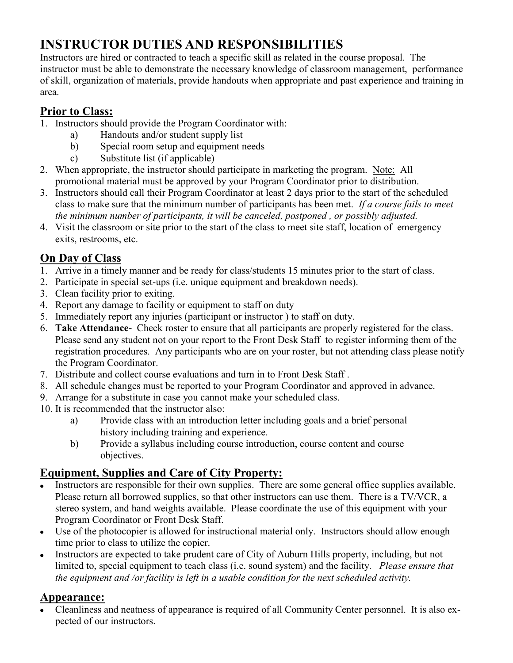# **INSTRUCTOR DUTIES AND RESPONSIBILITIES**

Instructors are hired or contracted to teach a specific skill as related in the course proposal. The instructor must be able to demonstrate the necessary knowledge of classroom management, performance of skill, organization of materials, provide handouts when appropriate and past experience and training in area.

#### **Prior to Class:**

- 1. Instructors should provide the Program Coordinator with:
	- a) Handouts and/or student supply list
	- b) Special room setup and equipment needs
	- c) Substitute list (if applicable)
- 2. When appropriate, the instructor should participate in marketing the program. Note: All promotional material must be approved by your Program Coordinator prior to distribution.
- 3. Instructors should call their Program Coordinator at least 2 days prior to the start of the scheduled class to make sure that the minimum number of participants has been met. *If a course fails to meet the minimum number of participants, it will be canceled, postponed , or possibly adjusted.*
- 4. Visit the classroom or site prior to the start of the class to meet site staff, location of emergency exits, restrooms, etc.

#### **On Day of Class**

- 1. Arrive in a timely manner and be ready for class/students 15 minutes prior to the start of class.
- 2. Participate in special set-ups (i.e. unique equipment and breakdown needs).
- 3. Clean facility prior to exiting.
- 4. Report any damage to facility or equipment to staff on duty
- 5. Immediately report any injuries (participant or instructor ) to staff on duty.
- 6. **Take Attendance-** Check roster to ensure that all participants are properly registered for the class. Please send any student not on your report to the Front Desk Staff to register informing them of the registration procedures. Any participants who are on your roster, but not attending class please notify the Program Coordinator.
- 7. Distribute and collect course evaluations and turn in to Front Desk Staff .
- 8. All schedule changes must be reported to your Program Coordinator and approved in advance.
- 9. Arrange for a substitute in case you cannot make your scheduled class.
- 10. It is recommended that the instructor also:
	- a) Provide class with an introduction letter including goals and a brief personal history including training and experience.
	- b) Provide a syllabus including course introduction, course content and course objectives.

#### **Equipment, Supplies and Care of City Property:**

- Instructors are responsible for their own supplies. There are some general office supplies available. Please return all borrowed supplies, so that other instructors can use them. There is a TV/VCR, a stereo system, and hand weights available. Please coordinate the use of this equipment with your Program Coordinator or Front Desk Staff.
- Use of the photocopier is allowed for instructional material only. Instructors should allow enough time prior to class to utilize the copier.
- Instructors are expected to take prudent care of City of Auburn Hills property, including, but not limited to, special equipment to teach class (i.e. sound system) and the facility. *Please ensure that the equipment and /or facility is left in a usable condition for the next scheduled activity.*

#### **Appearance:**

Cleanliness and neatness of appearance is required of all Community Center personnel. It is also expected of our instructors.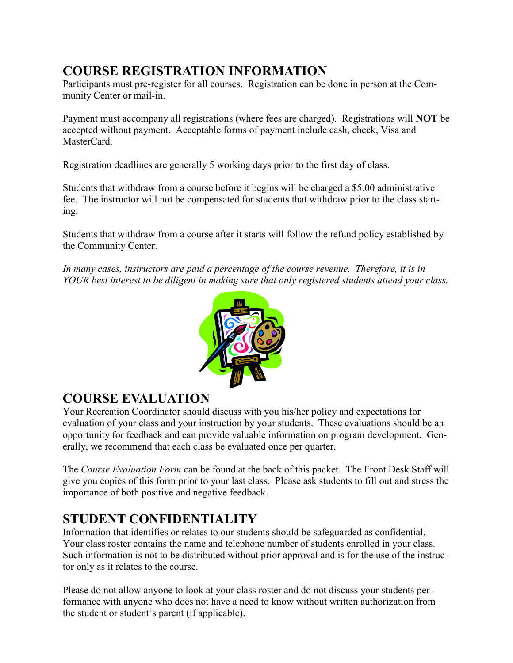# **COURSE REGISTRATION INFORMATION**

Participants must pre-register for all courses. Registration can be done in person at the Community Center or mail-in.

Payment must accompany all registrations (where fees are charged). Registrations will **NOT** be accepted without payment. Acceptable forms of payment include cash, check, Visa and MasterCard

Registration deadlines are generally 5 working days prior to the first day of class.

Students that withdraw from a course before it begins will be charged a \$5.00 administrative fee. The instructor will not be compensated for students that withdraw prior to the class starting.

Students that withdraw from a course after it starts will follow the refund policy established by the Community Center.

*In many cases, instructors are paid a percentage of the course revenue. Therefore, it is in YOUR best interest to be diligent in making sure that only registered students attend your class.*



# **COURSE EVALUATION**

Your Recreation Coordinator should discuss with you his/her policy and expectations for evaluation of your class and your instruction by your students. These evaluations should be an opportunity for feedback and can provide valuable information on program development. Generally, we recommend that each class be evaluated once per quarter.

The *Course Evaluation Form* can be found at the back of this packet. The Front Desk Staff will give you copies of this form prior to your last class. Please ask students to fill out and stress the importance of both positive and negative feedback.

# **STUDENT CONFIDENTIALITY**

Information that identifies or relates to our students should be safeguarded as confidential. Your class roster contains the name and telephone number of students enrolled in your class. Such information is not to be distributed without prior approval and is for the use of the instructor only as it relates to the course.

Please do not allow anyone to look at your class roster and do not discuss your students performance with anyone who does not have a need to know without written authorization from the student or student's parent (if applicable).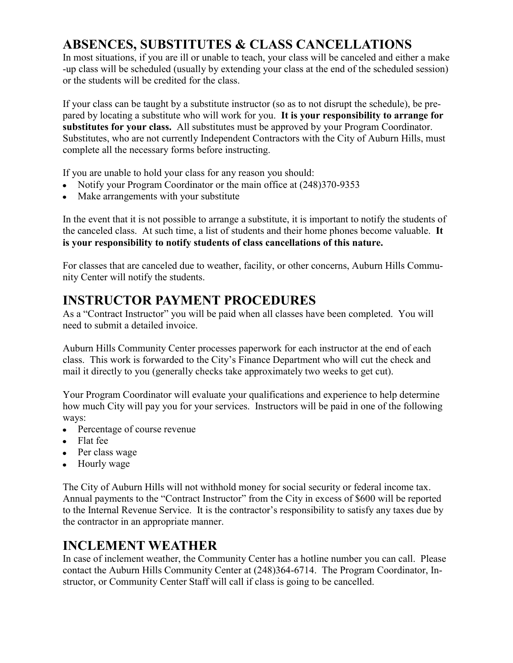# **ABSENCES, SUBSTITUTES & CLASS CANCELLATIONS**

In most situations, if you are ill or unable to teach, your class will be canceled and either a make -up class will be scheduled (usually by extending your class at the end of the scheduled session) or the students will be credited for the class.

If your class can be taught by a substitute instructor (so as to not disrupt the schedule), be prepared by locating a substitute who will work for you. **It is your responsibility to arrange for substitutes for your class.** All substitutes must be approved by your Program Coordinator. Substitutes, who are not currently Independent Contractors with the City of Auburn Hills, must complete all the necessary forms before instructing.

If you are unable to hold your class for any reason you should:

- Notify your Program Coordinator or the main office at  $(248)370-9353$
- Make arrangements with your substitute

In the event that it is not possible to arrange a substitute, it is important to notify the students of the canceled class. At such time, a list of students and their home phones become valuable. **It is your responsibility to notify students of class cancellations of this nature.**

For classes that are canceled due to weather, facility, or other concerns, Auburn Hills Community Center will notify the students.

# **INSTRUCTOR PAYMENT PROCEDURES**

As a "Contract Instructor" you will be paid when all classes have been completed. You will need to submit a detailed invoice.

Auburn Hills Community Center processes paperwork for each instructor at the end of each class. This work is forwarded to the City's Finance Department who will cut the check and mail it directly to you (generally checks take approximately two weeks to get cut).

Your Program Coordinator will evaluate your qualifications and experience to help determine how much City will pay you for your services. Instructors will be paid in one of the following ways:

- Percentage of course revenue
- Flat fee
- Per class wage
- Hourly wage

The City of Auburn Hills will not withhold money for social security or federal income tax. Annual payments to the "Contract Instructor" from the City in excess of \$600 will be reported to the Internal Revenue Service. It is the contractor's responsibility to satisfy any taxes due by the contractor in an appropriate manner.

#### **INCLEMENT WEATHER**

In case of inclement weather, the Community Center has a hotline number you can call. Please contact the Auburn Hills Community Center at (248)364-6714. The Program Coordinator, Instructor, or Community Center Staff will call if class is going to be cancelled.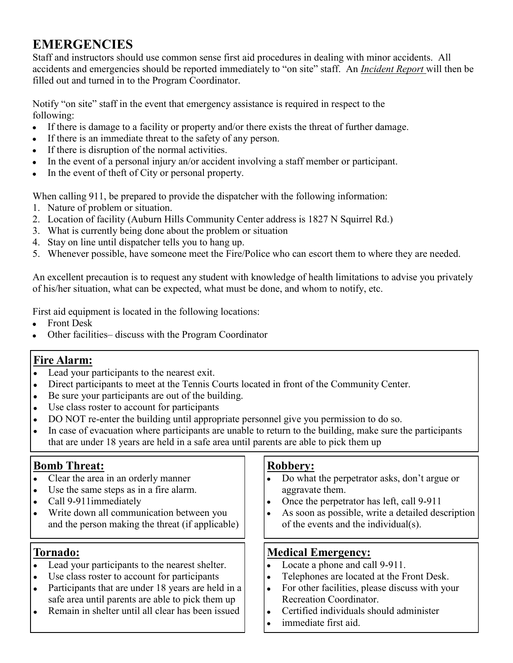# **EMERGENCIES**

Staff and instructors should use common sense first aid procedures in dealing with minor accidents. All accidents and emergencies should be reported immediately to "on site" staff. An *Incident Report* will then be filled out and turned in to the Program Coordinator.

Notify "on site" staff in the event that emergency assistance is required in respect to the following:

- If there is damage to a facility or property and/or there exists the threat of further damage.  $\bullet$
- If there is an immediate threat to the safety of any person.  $\bullet$
- If there is disruption of the normal activities.
- In the event of a personal injury an/or accident involving a staff member or participant.
- In the event of theft of City or personal property.  $\bullet$

When calling 911, be prepared to provide the dispatcher with the following information:

- 1. Nature of problem or situation.
- 2. Location of facility (Auburn Hills Community Center address is 1827 N Squirrel Rd.)
- 3. What is currently being done about the problem or situation
- 4. Stay on line until dispatcher tells you to hang up.
- 5. Whenever possible, have someone meet the Fire/Police who can escort them to where they are needed.

An excellent precaution is to request any student with knowledge of health limitations to advise you privately of his/her situation, what can be expected, what must be done, and whom to notify, etc.

First aid equipment is located in the following locations:

- Front Desk  $\bullet$
- Other facilities– discuss with the Program Coordinator

#### **Fire Alarm:**

- Lead your participants to the nearest exit.
- Direct participants to meet at the Tennis Courts located in front of the Community Center.
- Be sure your participants are out of the building.  $\bullet$
- Use class roster to account for participants  $\bullet$
- DO NOT re-enter the building until appropriate personnel give you permission to do so.
- In case of evacuation where participants are unable to return to the building, make sure the participants that are under 18 years are held in a safe area until parents are able to pick them up

#### **Bomb Threat:**

- Clear the area in an orderly manner  $\bullet$
- Use the same steps as in a fire alarm.
- Call 9-911immediately
- Write down all communication between you and the person making the threat (if applicable)

#### **Tornado:**

- Lead your participants to the nearest shelter.
- Use class roster to account for participants
- Participants that are under 18 years are held in a safe area until parents are able to pick them up
- Remain in shelter until all clear has been issued

#### **Robbery:**

- Do what the perpetrator asks, don't argue or aggravate them.
- Once the perpetrator has left, call 9-911  $\bullet$
- As soon as possible, write a detailed description  $\bullet$ of the events and the individual(s).

#### **Medical Emergency:**

- Locate a phone and call 9-911.  $\bullet$
- $\bullet$ Telephones are located at the Front Desk.
- $\bullet$ For other facilities, please discuss with your Recreation Coordinator.
- Certified individuals should administer  $\bullet$
- immediate first aid.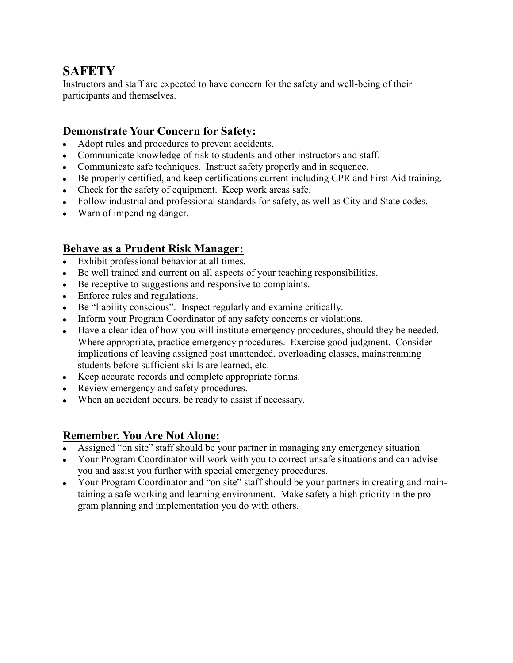## **SAFETY**

Instructors and staff are expected to have concern for the safety and well-being of their participants and themselves.

#### **Demonstrate Your Concern for Safety:**

- Adopt rules and procedures to prevent accidents.
- Communicate knowledge of risk to students and other instructors and staff.
- Communicate safe techniques. Instruct safety properly and in sequence.
- Be properly certified, and keep certifications current including CPR and First Aid training.
- Check for the safety of equipment. Keep work areas safe.
- Follow industrial and professional standards for safety, as well as City and State codes.
- Warn of impending danger.

#### **Behave as a Prudent Risk Manager:**

- Exhibit professional behavior at all times.
- Be well trained and current on all aspects of your teaching responsibilities.
- Be receptive to suggestions and responsive to complaints.
- Enforce rules and regulations.
- Be "liability conscious". Inspect regularly and examine critically.
- Inform your Program Coordinator of any safety concerns or violations.
- Have a clear idea of how you will institute emergency procedures, should they be needed. Where appropriate, practice emergency procedures. Exercise good judgment. Consider implications of leaving assigned post unattended, overloading classes, mainstreaming students before sufficient skills are learned, etc.
- Keep accurate records and complete appropriate forms.
- Review emergency and safety procedures.
- When an accident occurs, be ready to assist if necessary.

#### **Remember, You Are Not Alone:**

- Assigned "on site" staff should be your partner in managing any emergency situation.
- Your Program Coordinator will work with you to correct unsafe situations and can advise you and assist you further with special emergency procedures.
- Your Program Coordinator and "on site" staff should be your partners in creating and maintaining a safe working and learning environment. Make safety a high priority in the program planning and implementation you do with others.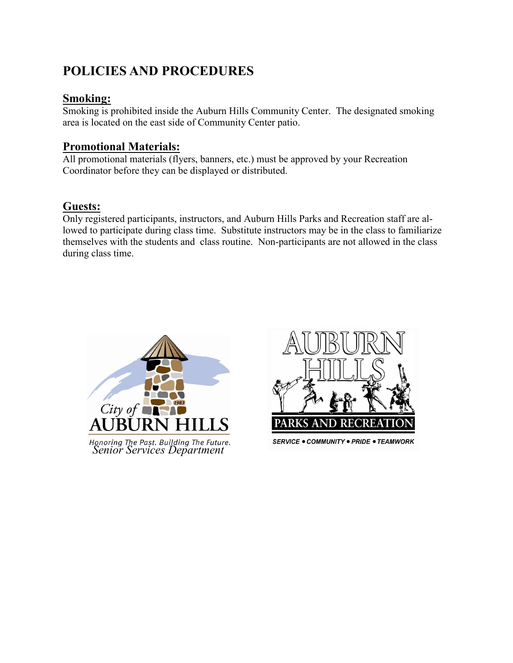# **POLICIES AND PROCEDURES**

#### **Smoking:**

Smoking is prohibited inside the Auburn Hills Community Center. The designated smoking area is located on the east side of Community Center patio.

#### **Promotional Materials:**

All promotional materials (flyers, banners, etc.) must be approved by your Recreation Coordinator before they can be displayed or distributed.

#### **Guests:**

Only registered participants, instructors, and Auburn Hills Parks and Recreation staff are allowed to participate during class time. Substitute instructors may be in the class to familiarize themselves with the students and class routine. Non-participants are not allowed in the class during class time.





**SERVICE . COMMUNITY . PRIDE . TEAMWORK**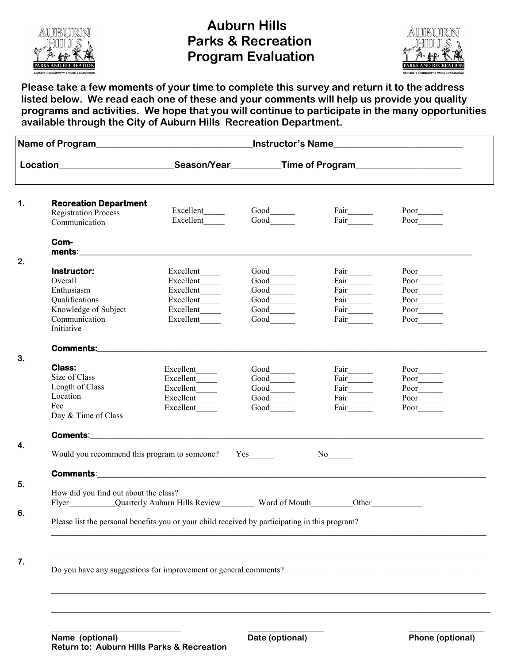

## **Auburn Hills Parks & Recreation Program Evaluation**



**Please take a few moments of your time to complete this survey and return it to the address listed below. We read each one of these and your comments will help us provide you quality programs and activities. We hope that you will continue to participate in the many opportunities available through the City of Auburn Hills Recreation Department.**

| Location <b>Manual Contract Contract Contract Contract Contract Contract Contract Contract Contract Contract Contract Contract Contract Contract Contract Contract Contract Contract Contract Contract Contract Contract Contrac</b> |                                                                                                                                                                                                                                    |                                                                                             |                                                                          |                                                                                                                                                                                                                                                                                                                                                                                                                                            |
|--------------------------------------------------------------------------------------------------------------------------------------------------------------------------------------------------------------------------------------|------------------------------------------------------------------------------------------------------------------------------------------------------------------------------------------------------------------------------------|---------------------------------------------------------------------------------------------|--------------------------------------------------------------------------|--------------------------------------------------------------------------------------------------------------------------------------------------------------------------------------------------------------------------------------------------------------------------------------------------------------------------------------------------------------------------------------------------------------------------------------------|
| <b>Recreation Department</b><br><b>Registration Process</b><br>Communication                                                                                                                                                         | Excellent<br>Excellent                                                                                                                                                                                                             |                                                                                             |                                                                          |                                                                                                                                                                                                                                                                                                                                                                                                                                            |
| Com-                                                                                                                                                                                                                                 |                                                                                                                                                                                                                                    |                                                                                             |                                                                          |                                                                                                                                                                                                                                                                                                                                                                                                                                            |
| Instructor:<br>Overall<br>Enthusiasm<br>Qualifications<br>Knowledge of Subject<br>Communication<br>Initiative                                                                                                                        | Excellent<br>Excellent_____<br>Excellent<br>Excellent                                                                                                                                                                              | Good<br>$\text{Good}$<br>$\text{Good}$<br>Good_______<br>$Good$ <sub>________</sub><br>Good | Fair_______<br>Fair_______<br>Fair______<br>Fair<br>Fair<br>Fair<br>Fair | Poor______<br>$\underbrace{\begin{array}{c} \text{Poor}\xrightarrow{\hspace{0.5cm}} \\ \text{Poor}\xrightarrow{\hspace{0.5cm}} \\ \end{array}}$<br>Poor<br>Poor<br>Poor                                                                                                                                                                                                                                                                    |
|                                                                                                                                                                                                                                      |                                                                                                                                                                                                                                    |                                                                                             |                                                                          |                                                                                                                                                                                                                                                                                                                                                                                                                                            |
| <b>Class:</b><br>Size of Class<br>Length of Class<br>Location<br>Fee<br>Day & Time of Class                                                                                                                                          | Excellent_____<br>Excellent                                                                                                                                                                                                        | $\text{Good}$<br>$\text{Good}$<br>Good                                                      | Fair________<br>Fair______<br>Fair $\frac{1}{2}$                         | $Poor$ <sub>_______</sub><br>$\begin{picture}(20,20) \put(0,0){\dashbox{0.5}(5,0){ }} \put(15,0){\circle{1}} \put(15,0){\circle{1}} \put(15,0){\circle{1}} \put(15,0){\circle{1}} \put(15,0){\circle{1}} \put(15,0){\circle{1}} \put(15,0){\circle{1}} \put(15,0){\circle{1}} \put(15,0){\circle{1}} \put(15,0){\circle{1}} \put(15,0){\circle{1}} \put(15,0){\circle{1}} \put(15,0){\circle{1}} \put(15,0){\circle{1}} \put(15,0$<br>Poor |
|                                                                                                                                                                                                                                      |                                                                                                                                                                                                                                    |                                                                                             |                                                                          |                                                                                                                                                                                                                                                                                                                                                                                                                                            |
| Would you recommend this program to someone?                                                                                                                                                                                         |                                                                                                                                                                                                                                    | $Yes$ <sub>__________</sub>                                                                 |                                                                          |                                                                                                                                                                                                                                                                                                                                                                                                                                            |
|                                                                                                                                                                                                                                      | <b>Comments:</b> Production of the contract of the contract of the contract of the contract of the contract of the contract of the contract of the contract of the contract of the contract of the contract of the contract of the |                                                                                             |                                                                          |                                                                                                                                                                                                                                                                                                                                                                                                                                            |
| How did you find out about the class?                                                                                                                                                                                                | Flyer____________Quarterly Auburn Hills Review___________ Word of Mouth__________                                                                                                                                                  |                                                                                             |                                                                          | Other                                                                                                                                                                                                                                                                                                                                                                                                                                      |
|                                                                                                                                                                                                                                      | Please list the personal benefits you or your child received by participating in this program?                                                                                                                                     |                                                                                             |                                                                          |                                                                                                                                                                                                                                                                                                                                                                                                                                            |
|                                                                                                                                                                                                                                      |                                                                                                                                                                                                                                    |                                                                                             |                                                                          |                                                                                                                                                                                                                                                                                                                                                                                                                                            |
|                                                                                                                                                                                                                                      | Do you have any suggestions for improvement or general comments?                                                                                                                                                                   |                                                                                             |                                                                          |                                                                                                                                                                                                                                                                                                                                                                                                                                            |
|                                                                                                                                                                                                                                      |                                                                                                                                                                                                                                    |                                                                                             |                                                                          |                                                                                                                                                                                                                                                                                                                                                                                                                                            |
|                                                                                                                                                                                                                                      |                                                                                                                                                                                                                                    |                                                                                             |                                                                          |                                                                                                                                                                                                                                                                                                                                                                                                                                            |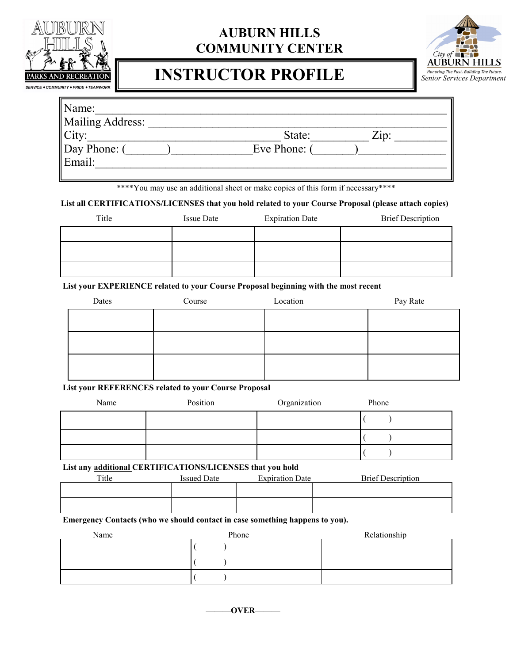

# **AUBURN HILLS COMMUNITY CENTER**

# **INSTRUCTOR PROFILE**



| Name:            |                |
|------------------|----------------|
| Mailing Address: |                |
| City:            | Zip:<br>State: |
| Day Phone: (     | Eve Phone: (   |
| Email:           |                |

\*\*\*\*You may use an additional sheet or make copies of this form if necessary\*\*\*\*

**List all CERTIFICATIONS/LICENSES that you hold related to your Course Proposal (please attach copies)**

| Title | <b>Issue Date</b> | <b>Expiration Date</b> | <b>Brief Description</b> |
|-------|-------------------|------------------------|--------------------------|
|       |                   |                        |                          |
|       |                   |                        |                          |
|       |                   |                        |                          |

**List your EXPERIENCE related to your Course Proposal beginning with the most recent**

| Dates | Course | Location | Pay Rate |
|-------|--------|----------|----------|
|       |        |          |          |
|       |        |          |          |
|       |        |          |          |
|       |        |          |          |

**List your REFERENCES related to your Course Proposal** 

| Name | Position | Organization | Phone |
|------|----------|--------------|-------|
|      |          |              |       |
|      |          |              |       |
|      |          |              |       |

**List any additional CERTIFICATIONS/LICENSES that you hold**

| Title | <b>Issued Date</b> | <b>Expiration Date</b> | <b>Brief Description</b> |
|-------|--------------------|------------------------|--------------------------|
|       |                    |                        |                          |
|       |                    |                        |                          |
|       |                    |                        |                          |

**Emergency Contacts (who we should contact in case something happens to you).**

| Name | Phone | Relationship |
|------|-------|--------------|
|      |       |              |
|      |       |              |
|      |       |              |

**———OVER———**